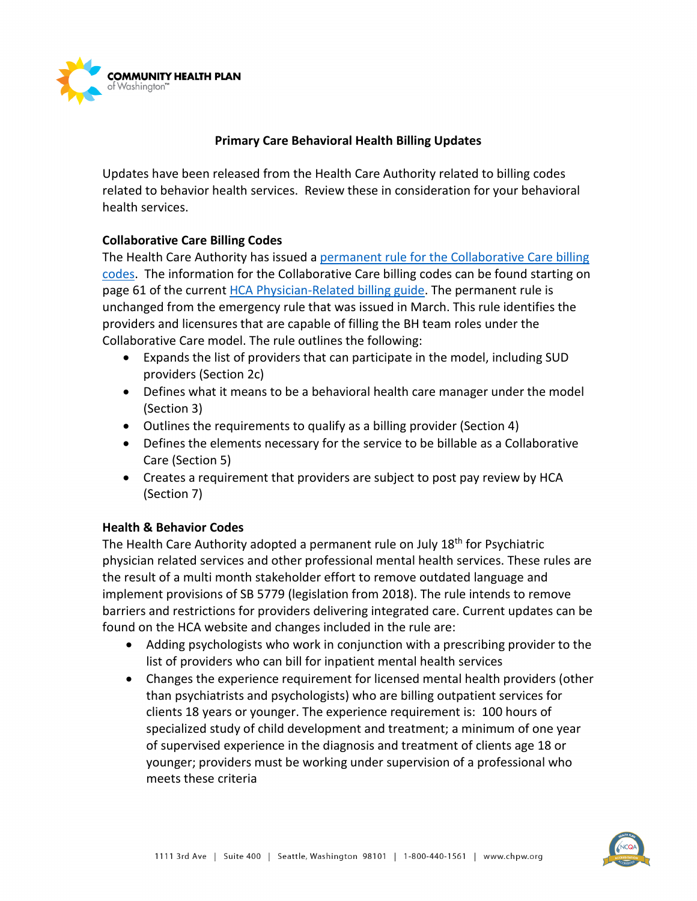

## **Primary Care Behavioral Health Billing Updates**

Updates have been released from the Health Care Authority related to billing codes related to behavior health services. Review these in consideration for your behavioral health services.

## **Collaborative Care Billing Codes**

The Health Care Authority has issued a [permanent rule for the Collaborative Care billing](https://www.hca.wa.gov/assets/103P-19-13-022.pdf)  [codes.](https://www.hca.wa.gov/assets/103P-19-13-022.pdf) The information for the Collaborative Care billing codes can be found starting on page 61 of the curren[t HCA Physician-Related billing guide.](https://www.hca.wa.gov/assets/billers-and-providers/physician-related-serv-bg-20190701.pdf) The permanent rule is unchanged from the emergency rule that was issued in March. This rule identifies the providers and licensures that are capable of filling the BH team roles under the Collaborative Care model. The rule outlines the following:

- Expands the list of providers that can participate in the model, including SUD providers (Section 2c)
- Defines what it means to be a behavioral health care manager under the model (Section 3)
- Outlines the requirements to qualify as a billing provider (Section 4)
- Defines the elements necessary for the service to be billable as a Collaborative Care (Section 5)
- Creates a requirement that providers are subject to post pay review by HCA (Section 7)

## **Health & Behavior Codes**

The Health Care Authority adopted a permanent rule on July 18<sup>th</sup> for Psychiatric physician related services and other professional mental health services. These rules are the result of a multi month stakeholder effort to remove outdated language and implement provisions of SB 5779 (legislation from 2018). The rule intends to remove barriers and restrictions for providers delivering integrated care. Current updates can be found on the HCA website and changes included in the rule are:

- Adding psychologists who work in conjunction with a prescribing provider to the list of providers who can bill for inpatient mental health services
- Changes the experience requirement for licensed mental health providers (other than psychiatrists and psychologists) who are billing outpatient services for clients 18 years or younger. The experience requirement is: 100 hours of specialized study of child development and treatment; a minimum of one year of supervised experience in the diagnosis and treatment of clients age 18 or younger; providers must be working under supervision of a professional who meets these criteria